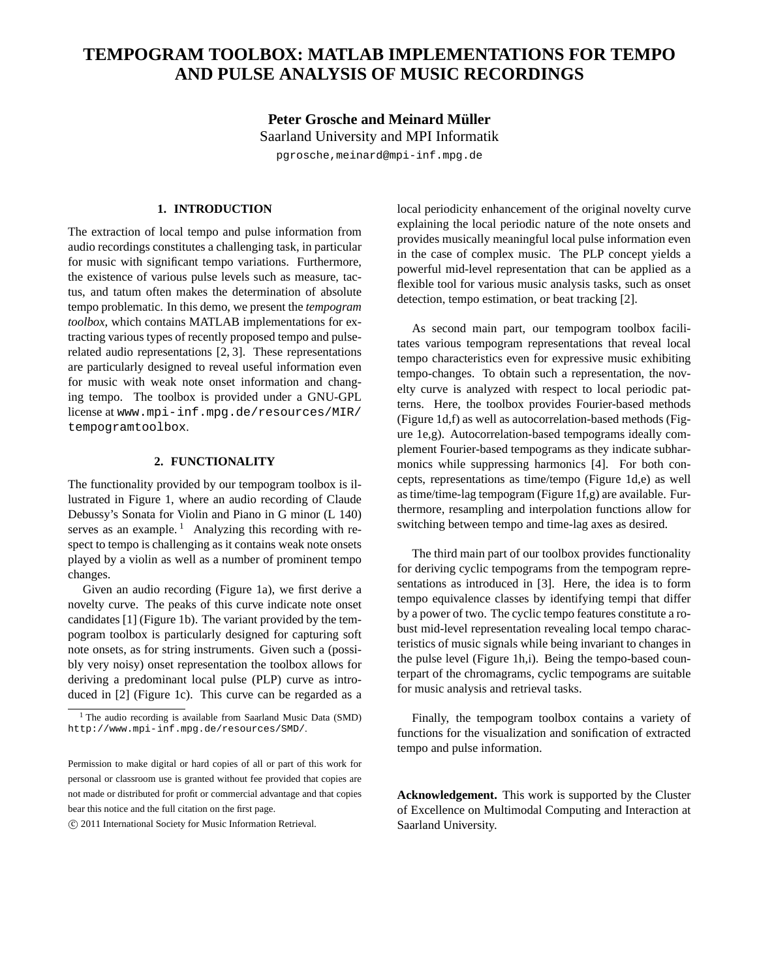## **TEMPOGRAM TOOLBOX: MATLAB IMPLEMENTATIONS FOR TEMPO AND PULSE ANALYSIS OF MUSIC RECORDINGS**

**Peter Grosche and Meinard Müller** Saarland University and MPI Informatik pgrosche,meinard@mpi-inf.mpg.de

## **1. INTRODUCTION**

The extraction of local tempo and pulse information from audio recordings constitutes a challenging task, in particular for music with significant tempo variations. Furthermore, the existence of various pulse levels such as measure, tactus, and tatum often makes the determination of absolute tempo problematic. In this demo, we present the *tempogram toolbox*, which contains MATLAB implementations for extracting various types of recently proposed tempo and pulserelated audio representations [2, 3]. These representations are particularly designed to reveal useful information even for music with weak note onset information and changing tempo. The toolbox is provided under a GNU-GPL license at www.mpi-inf.mpg.de/resources/MIR/ tempogramtoolbox.

## **2. FUNCTIONALITY**

The functionality provided by our tempogram toolbox is illustrated in Figure 1, where an audio recording of Claude Debussy's Sonata for Violin and Piano in G minor (L 140) serves as an example.<sup>1</sup> Analyzing this recording with respect to tempo is challenging as it contains weak note onsets played by a violin as well as a number of prominent tempo changes.

Given an audio recording (Figure 1a), we first derive a novelty curve. The peaks of this curve indicate note onset candidates [1] (Figure 1b). The variant provided by the tempogram toolbox is particularly designed for capturing soft note onsets, as for string instruments. Given such a (possibly very noisy) onset representation the toolbox allows for deriving a predominant local pulse (PLP) curve as introduced in [2] (Figure 1c). This curve can be regarded as a

c 2011 International Society for Music Information Retrieval.

local periodicity enhancement of the original novelty curve explaining the local periodic nature of the note onsets and provides musically meaningful local pulse information even in the case of complex music. The PLP concept yields a powerful mid-level representation that can be applied as a flexible tool for various music analysis tasks, such as onset detection, tempo estimation, or beat tracking [2].

As second main part, our tempogram toolbox facilitates various tempogram representations that reveal local tempo characteristics even for expressive music exhibiting tempo-changes. To obtain such a representation, the novelty curve is analyzed with respect to local periodic patterns. Here, the toolbox provides Fourier-based methods (Figure 1d,f) as well as autocorrelation-based methods (Figure 1e,g). Autocorrelation-based tempograms ideally complement Fourier-based tempograms as they indicate subharmonics while suppressing harmonics [4]. For both concepts, representations as time/tempo (Figure 1d,e) as well as time/time-lag tempogram (Figure 1f,g) are available. Furthermore, resampling and interpolation functions allow for switching between tempo and time-lag axes as desired.

The third main part of our toolbox provides functionality for deriving cyclic tempograms from the tempogram representations as introduced in [3]. Here, the idea is to form tempo equivalence classes by identifying tempi that differ by a power of two. The cyclic tempo features constitute a robust mid-level representation revealing local tempo characteristics of music signals while being invariant to changes in the pulse level (Figure 1h,i). Being the tempo-based counterpart of the chromagrams, cyclic tempograms are suitable for music analysis and retrieval tasks.

Finally, the tempogram toolbox contains a variety of functions for the visualization and sonification of extracted tempo and pulse information.

**Acknowledgement.** This work is supported by the Cluster of Excellence on Multimodal Computing and Interaction at Saarland University.

<sup>&</sup>lt;sup>1</sup> The audio recording is available from Saarland Music Data (SMD) http://www.mpi-inf.mpg.de/resources/SMD/.

Permission to make digital or hard copies of all or part of this work for personal or classroom use is granted without fee provided that copies are not made or distributed for profit or commercial advantage and that copies bear this notice and the full citation on the first page.